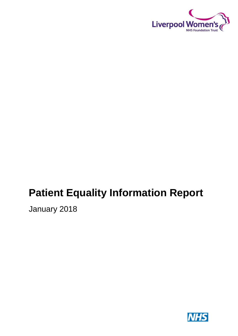

# **Patient Equality Information Report**

January 2018

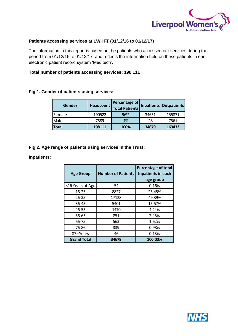

## **Patients accessing services at LWHFT (01/12/16 to 01/12/17)**

The information in this report is based on the patients who accessed our services during the period from 01/12/16 to 01/12/17, and reflects the information held on these patients in our electronic patient record system 'Meditech'.

#### **Total number of patients accessing services: 198,111**

## **Fig 1. Gender of patients using services:**

| Gender       |        | <b>Percentage of</b><br>Headcount   Total Patients <sup>"</sup> |       | Inpatients Outpatients |
|--------------|--------|-----------------------------------------------------------------|-------|------------------------|
| Female       | 190522 | 96%                                                             | 34651 | 155871                 |
| Male         | 7589   | 4%                                                              | 28    | 7561                   |
| <b>Total</b> | 198111 | 100%                                                            | 34679 | 163432                 |

**Fig 2. Age range of patients using services in the Trust:**

## **Inpatients:**

| <b>Age Group</b>   | <b>Number of Patients</b> | <b>Percentage of total</b><br>Inpatients in each<br>age group |  |
|--------------------|---------------------------|---------------------------------------------------------------|--|
| <16 Years of Age   | 54                        | 0.16%                                                         |  |
| $16 - 25$          | 8827                      | 25.45%                                                        |  |
| $26 - 35$          | 17128                     | 49.39%                                                        |  |
| $36 - 45$          | 5401                      | 15.57%                                                        |  |
| 46-55              | 1470                      | 4.24%                                                         |  |
| 56-65              | 851                       | 2.45%                                                         |  |
| 66-75              | 563                       | 1.62%                                                         |  |
| 76-86              | 339                       | 0.98%                                                         |  |
| 87+Years           | 46                        | 0.13%                                                         |  |
| <b>Grand Total</b> | 34679                     | 100.00%                                                       |  |

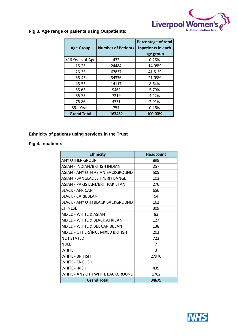

## **Fig 3. Age range of patients using Outpatients:**

| <b>Age Group</b>   | <b>Number of Patients</b> | <b>Percentage of total</b><br>Inpatients in each |  |
|--------------------|---------------------------|--------------------------------------------------|--|
|                    |                           | age group                                        |  |
| <16 Years of Age   | 432                       | 0.26%                                            |  |
| 16-25              | 24484                     | 14.98%                                           |  |
| $26 - 35$          | 67837                     | 41.51%                                           |  |
| 36-45              | 34376                     | 21.03%                                           |  |
| 46-55              | 14117                     | 8.64%                                            |  |
| 56-65              | 9462                      | 5.79%                                            |  |
| 66-75              | 7219                      | 4.42%                                            |  |
| 76-86              | 4751                      | 2.91%                                            |  |
| 86 + Years         | 754                       | 0.46%                                            |  |
| <b>Grand Total</b> | 163432                    | 100.00%                                          |  |

## **Ethnicity of patients using services in the Trust**

## **Fig 4. Inpatients**

| <b>Ethnicity</b>                        | <b>Headcount</b> |  |
|-----------------------------------------|------------------|--|
| <b>ANY OTHER GROUP</b>                  | 899              |  |
| ASIAN - INDIAN/BRITISH INDIAN           | 257              |  |
| <b>ASIAN - ANY OTH ASIAN BACKGROUND</b> | 505              |  |
| ASIAN - BANGLADESHI/BRIT BANGL          | 103              |  |
| ASIAN - PAKISTANI/BRIT PAKISTANI        | 276              |  |
| <b>BLACK - AFRICAN</b>                  | 656              |  |
| <b>BLACK - CARIBBEAN</b>                | 54               |  |
| <b>BLACK - ANY OTH BLACK BACKGROUND</b> | 162              |  |
| <b>CHINESE</b>                          | 309              |  |
| <b>MIXED - WHITE &amp; ASIAN</b>        | 83               |  |
| MIXED - WHITE & BLACK AFRICAN           | 127              |  |
| MIXED - WHITE & BLK CARIBBEAN           | 138              |  |
| MIXED - OTHER/INCL MIXED BRITISH        | 203              |  |
| <b>NOT STATED</b>                       | 723              |  |
| <b>NULL</b>                             | $\overline{7}$   |  |
| <b>WHITE</b>                            | 3                |  |
| WHITE - BRITISH                         | 27976            |  |
| WHITE - ENGLISH                         | 1                |  |
| WHITE - IRISH                           | 435              |  |
| WHITE - ANY OTH WHITE BACKGROUND        | 1762             |  |
| <b>Grand Total</b>                      | 34679            |  |

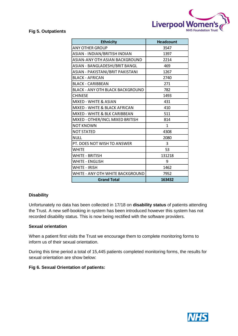

## **Fig 5. Outpatients**

| <b>Ethnicity</b>                         | <b>Headcount</b> |  |
|------------------------------------------|------------------|--|
| <b>ANY OTHER GROUP</b>                   | 3547             |  |
| ASIAN - INDIAN/BRITISH INDIAN            | 1397             |  |
| ASIAN-ANY OTH ASIAN BACKGROUND           | 2214             |  |
| ASIAN - BANGLADESHI/BRIT BANGL           | 469              |  |
| ASIAN - PAKISTANI/BRIT PAKISTANI         | 1267             |  |
| <b>BLACK - AFRICAN</b>                   | 2740             |  |
| <b>BLACK - CARIBBEAN</b>                 | 271              |  |
| BLACK - ANY OTH BLACK BACKGROUND         | 782              |  |
| <b>CHINESE</b>                           | 1493             |  |
| <b>MIXED - WHITE &amp; ASIAN</b>         | 431              |  |
| <b>MIXED - WHITE &amp; BLACK AFRICAN</b> | 410              |  |
| MIXED - WHITE & BLK CARIBBEAN            | 511              |  |
| MIXED - OTHER/INCL MIXED BRITISH         | 814              |  |
| <b>NOT KNOWN</b>                         | $\mathbf{1}$     |  |
| <b>NOT STATED</b>                        | 4308             |  |
| <b>NULL</b>                              | 2080             |  |
| PT. DOES NOT WISH TO ANSWER              | 3                |  |
| <b>WHITE</b>                             | 53               |  |
| WHITE - BRITISH                          | 131218           |  |
| <b>WHITE - ENGLISH</b>                   | 9                |  |
| <b>WHITE - IRISH</b>                     | 1462             |  |
| WHITE - ANY OTH WHITE BACKGROUND         | 7952             |  |
| <b>Grand Total</b>                       | 163432           |  |

## **Disability**

Unfortunately no data has been collected in 17/18 on **disability status** of patients attending the Trust. A new self-booking in system has been introduced however this system has not recorded disability status. This is now being rectified with the software providers.

## **Sexual orientation**

When a patient first visits the Trust we encourage them to complete monitoring forms to inform us of their sexual orientation.

During this time period a total of 15,445 patients completed monitoring forms, the results for sexual orientation are show below:

## **Fig 6. Sexual Orientation of patients:**